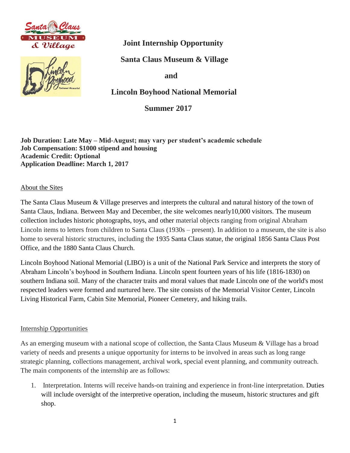



 **Joint Internship Opportunity**

 **Santa Claus Museum & Village**

 **and** 

 **Lincoln Boyhood National Memorial**

 **Summer 2017** 

**Job Duration: Late May – Mid-August; may vary per student's academic schedule Job Compensation: \$1000 stipend and housing Academic Credit: Optional Application Deadline: March 1, 2017**

About the Sites

The Santa Claus Museum & Village preserves and interprets the cultural and natural history of the town of Santa Claus, Indiana. Between May and December, the site welcomes nearly10,000 visitors. The museum collection includes historic photographs, toys, and other material objects ranging from original Abraham Lincoln items to letters from children to Santa Claus (1930s – present). In addition to a museum, the site is also home to several historic structures, including the 1935 Santa Claus statue, the original 1856 Santa Claus Post Office, and the 1880 Santa Claus Church.

Lincoln Boyhood National Memorial (LIBO) is a unit of the National Park Service and interprets the story of Abraham Lincoln's boyhood in Southern Indiana. Lincoln spent fourteen years of his life (1816-1830) on southern Indiana soil. Many of the character traits and moral values that made Lincoln one of the world's most respected leaders were formed and nurtured here. The site consists of the Memorial Visitor Center, Lincoln Living Historical Farm, Cabin Site Memorial, Pioneer Cemetery, and hiking trails.

## Internship Opportunities

As an emerging museum with a national scope of collection, the Santa Claus Museum & Village has a broad variety of needs and presents a unique opportunity for interns to be involved in areas such as long range strategic planning, collections management, archival work, special event planning, and community outreach. The main components of the internship are as follows:

1. Interpretation. Interns will receive hands-on training and experience in front-line interpretation. Duties will include oversight of the interpretive operation, including the museum, historic structures and gift shop.